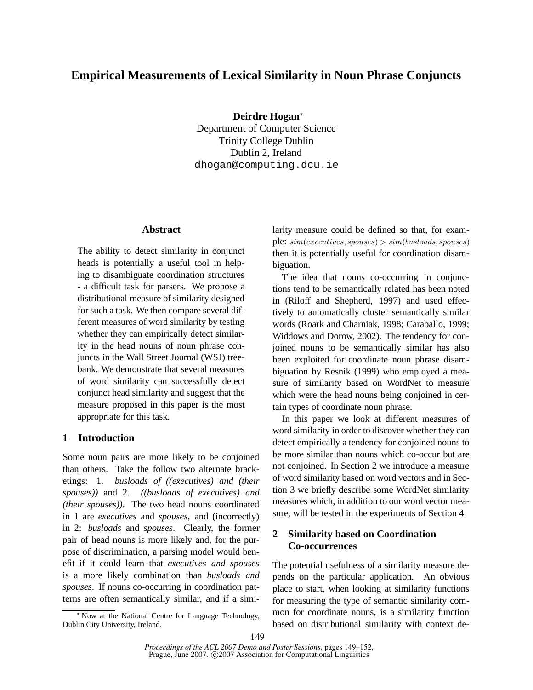# **Empirical Measurements of Lexical Similarity in Noun Phrase Conjuncts**

**Deirdre Hogan**<sup>∗</sup>

Department of Computer Science Trinity College Dublin Dublin 2, Ireland dhogan@computing.dcu.ie

## **Abstract**

The ability to detect similarity in conjunct heads is potentially a useful tool in helping to disambiguate coordination structures - a difficult task for parsers. We propose a distributional measure of similarity designed for such a task. We then compare several different measures of word similarity by testing whether they can empirically detect similarity in the head nouns of noun phrase conjuncts in the Wall Street Journal (WSJ) treebank. We demonstrate that several measures of word similarity can successfully detect conjunct head similarity and suggest that the measure proposed in this paper is the most appropriate for this task.

### **1 Introduction**

Some noun pairs are more likely to be conjoined than others. Take the follow two alternate bracketings: 1. *busloads of ((executives) and (their spouses))* and 2. *((busloads of executives) and (their spouses))*. The two head nouns coordinated in 1 are *executives* and *spouses*, and (incorrectly) in 2: *busloads* and *spouses*. Clearly, the former pair of head nouns is more likely and, for the purpose of discrimination, a parsing model would benefit if it could learn that *executives and spouses* is a more likely combination than *busloads and spouses*. If nouns co-occurring in coordination patterns are often semantically similar, and if a similarity measure could be defined so that, for example:  $sim(executives, spouses) > sim(busloads, spouses)$ then it is potentially useful for coordination disambiguation.

The idea that nouns co-occurring in conjunctions tend to be semantically related has been noted in (Riloff and Shepherd, 1997) and used effectively to automatically cluster semantically similar words (Roark and Charniak, 1998; Caraballo, 1999; Widdows and Dorow, 2002). The tendency for conjoined nouns to be semantically similar has also been exploited for coordinate noun phrase disambiguation by Resnik (1999) who employed a measure of similarity based on WordNet to measure which were the head nouns being conjoined in certain types of coordinate noun phrase.

In this paper we look at different measures of word similarity in order to discover whether they can detect empirically a tendency for conjoined nouns to be more similar than nouns which co-occur but are not conjoined. In Section 2 we introduce a measure of word similarity based on word vectors and in Section 3 we briefly describe some WordNet similarity measures which, in addition to our word vector measure, will be tested in the experiments of Section 4.

# **2 Similarity based on Coordination Co-occurrences**

The potential usefulness of a similarity measure depends on the particular application. An obvious place to start, when looking at similarity functions for measuring the type of semantic similarity common for coordinate nouns, is a similarity function based on distributional similarity with context de-

<sup>∗</sup> Now at the National Centre for Language Technology, Dublin City University, Ireland.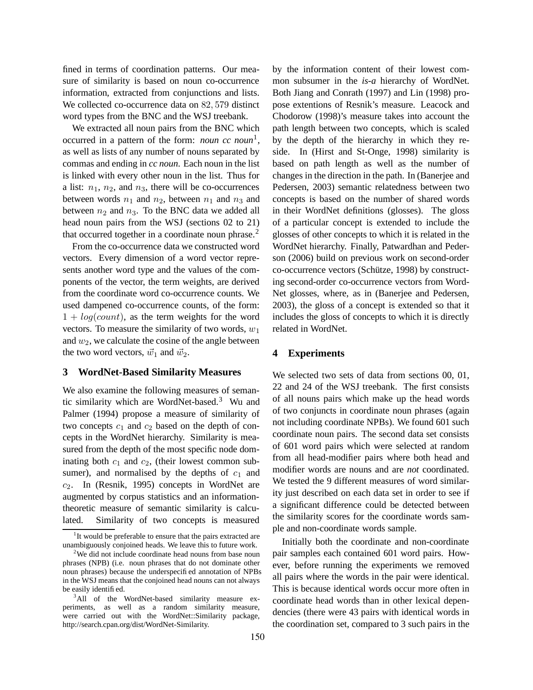fined in terms of coordination patterns. Our measure of similarity is based on noun co-occurrence information, extracted from conjunctions and lists. We collected co-occurrence data on 82, 579 distinct word types from the BNC and the WSJ treebank.

We extracted all noun pairs from the BNC which occurred in a pattern of the form: *noun cc noun*<sup>1</sup> , as well as lists of any number of nouns separated by commas and ending in *cc noun*. Each noun in the list is linked with every other noun in the list. Thus for a list:  $n_1$ ,  $n_2$ , and  $n_3$ , there will be co-occurrences between words  $n_1$  and  $n_2$ , between  $n_1$  and  $n_3$  and between  $n_2$  and  $n_3$ . To the BNC data we added all head noun pairs from the WSJ (sections 02 to 21) that occurred together in a coordinate noun phrase.<sup>2</sup>

From the co-occurrence data we constructed word vectors. Every dimension of a word vector represents another word type and the values of the components of the vector, the term weights, are derived from the coordinate word co-occurrence counts. We used dampened co-occurrence counts, of the form:  $1 + log(count)$ , as the term weights for the word vectors. To measure the similarity of two words,  $w_1$ and  $w_2$ , we calculate the cosine of the angle between the two word vectors,  $\vec{w}_1$  and  $\vec{w}_2$ .

#### **3 WordNet-Based Similarity Measures**

We also examine the following measures of semantic similarity which are WordNet-based.<sup>3</sup> Wu and Palmer (1994) propose a measure of similarity of two concepts  $c_1$  and  $c_2$  based on the depth of concepts in the WordNet hierarchy. Similarity is measured from the depth of the most specific node dominating both  $c_1$  and  $c_2$ , (their lowest common subsumer), and normalised by the depths of  $c_1$  and  $c_2$ . In (Resnik, 1995) concepts in WordNet are augmented by corpus statistics and an informationtheoretic measure of semantic similarity is calculated. Similarity of two concepts is measured

by the information content of their lowest common subsumer in the *is-a* hierarchy of WordNet. Both Jiang and Conrath (1997) and Lin (1998) propose extentions of Resnik's measure. Leacock and Chodorow (1998)'s measure takes into account the path length between two concepts, which is scaled by the depth of the hierarchy in which they reside. In (Hirst and St-Onge, 1998) similarity is based on path length as well as the number of changes in the direction in the path. In (Banerjee and Pedersen, 2003) semantic relatedness between two concepts is based on the number of shared words in their WordNet definitions (glosses). The gloss of a particular concept is extended to include the glosses of other concepts to which it is related in the WordNet hierarchy. Finally, Patwardhan and Pederson (2006) build on previous work on second-order co-occurrence vectors (Schütze, 1998) by constructing second-order co-occurrence vectors from Word-Net glosses, where, as in (Banerjee and Pedersen, 2003), the gloss of a concept is extended so that it includes the gloss of concepts to which it is directly related in WordNet.

#### **4 Experiments**

We selected two sets of data from sections 00, 01, 22 and 24 of the WSJ treebank. The first consists of all nouns pairs which make up the head words of two conjuncts in coordinate noun phrases (again not including coordinate NPBs). We found 601 such coordinate noun pairs. The second data set consists of 601 word pairs which were selected at random from all head-modifier pairs where both head and modifier words are nouns and are *not* coordinated. We tested the 9 different measures of word similarity just described on each data set in order to see if a significant difference could be detected between the similarity scores for the coordinate words sample and non-coordinate words sample.

Initially both the coordinate and non-coordinate pair samples each contained 601 word pairs. However, before running the experiments we removed all pairs where the words in the pair were identical. This is because identical words occur more often in coordinate head words than in other lexical dependencies (there were 43 pairs with identical words in the coordination set, compared to 3 such pairs in the

<sup>&</sup>lt;sup>1</sup>It would be preferable to ensure that the pairs extracted are unambiguously conjoined heads. We leave this to future work.

<sup>&</sup>lt;sup>2</sup>We did not include coordinate head nouns from base noun phrases (NPB) (i.e. noun phrases that do not dominate other noun phrases) because the underspecified annotation of NPBs in the WSJ means that the conjoined head nouns can not always be easily identified.

<sup>&</sup>lt;sup>3</sup>All of the WordNet-based similarity measure experiments, as well as a random similarity measure, were carried out with the WordNet::Similarity package, http://search.cpan.org/dist/WordNet-Similarity.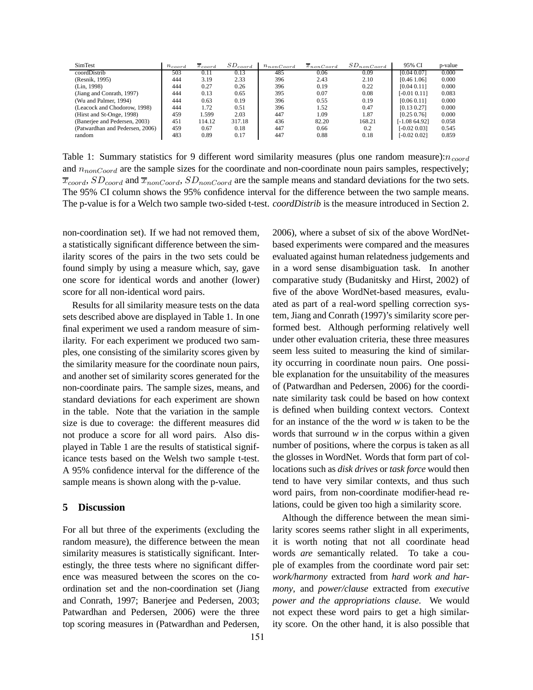| SimTest                         | $n_{coord}$ | $x_{coord}$ | $SD_{coord}$ | $n_{nonCoord}$ | $x_{nonCoord}$ | $SD_{nonCoord}$ | 95% CI          | p-value |
|---------------------------------|-------------|-------------|--------------|----------------|----------------|-----------------|-----------------|---------|
| coordDistrib                    | 503         | 0.11        | 0.13         | 485            | 0.06           | 0.09            | [0.04 0.07]     | 0.000   |
| (Resnik, 1995)                  | 444         | 3.19        | 2.33         | 396            | 2.43           | 2.10            | [0.46 1.06]     | 0.000   |
| (Lin. 1998)                     | 444         | 0.27        | 0.26         | 396            | 0.19           | 0.22            | [0.04 0.11]     | 0.000   |
| (Jiang and Conrath, 1997)       | 444         | 0.13        | 0.65         | 395            | 0.07           | 0.08            | $[-0.01 0.11]$  | 0.083   |
| (Wu and Palmer, 1994)           | 444         | 0.63        | 0.19         | 396            | 0.55           | 0.19            | [0.06 0.11]     | 0.000   |
| (Leacock and Chodorow, 1998)    | 444         | 1.72        | 0.51         | 396            | 1.52           | 0.47            | [0.13 0.27]     | 0.000   |
| (Hirst and St-Onge, 1998)       | 459         | 1.599       | 2.03         | 447            | 1.09           | 1.87            | [0.25, 0.76]    | 0.000   |
| (Banerjee and Pedersen, 2003)   | 451         | 114.12      | 317.18       | 436            | 82.20          | 168.21          | [-1.08 64.92]   | 0.058   |
| (Patwardhan and Pedersen, 2006) | 459         | 0.67        | 0.18         | 447            | 0.66           | 0.2             | $[-0.02, 0.03]$ | 0.545   |
| random                          | 483         | 0.89        | 0.17         | 447            | 0.88           | 0.18            | $[-0.02, 0.02]$ | 0.859   |

Table 1: Summary statistics for 9 different word similarity measures (plus one random measure): $n_{coord}$ and  $n_{nonCoord}$  are the sample sizes for the coordinate and non-coordinate noun pairs samples, respectively;  $\overline{x}_{coord}$ ,  $SD_{coord}$  and  $\overline{x}_{nonCoord}$ ,  $SD_{nonCoord}$  are the sample means and standard deviations for the two sets. The 95% CI column shows the 95% confidence interval for the difference between the two sample means. The p-value is for a Welch two sample two-sided t-test. *coordDistrib* is the measure introduced in Section 2.

non-coordination set). If we had not removed them, a statistically significant difference between the similarity scores of the pairs in the two sets could be found simply by using a measure which, say, gave one score for identical words and another (lower) score for all non-identical word pairs.

Results for all similarity measure tests on the data sets described above are displayed in Table 1. In one final experiment we used a random measure of similarity. For each experiment we produced two samples, one consisting of the similarity scores given by the similarity measure for the coordinate noun pairs, and another set of similarity scores generated for the non-coordinate pairs. The sample sizes, means, and standard deviations for each experiment are shown in the table. Note that the variation in the sample size is due to coverage: the different measures did not produce a score for all word pairs. Also displayed in Table 1 are the results of statistical significance tests based on the Welsh two sample t-test. A 95% confidence interval for the difference of the sample means is shown along with the p-value.

### **5 Discussion**

For all but three of the experiments (excluding the random measure), the difference between the mean similarity measures is statistically significant. Interestingly, the three tests where no significant difference was measured between the scores on the coordination set and the non-coordination set (Jiang and Conrath, 1997; Banerjee and Pedersen, 2003; Patwardhan and Pedersen, 2006) were the three top scoring measures in (Patwardhan and Pedersen,

2006), where a subset of six of the above WordNetbased experiments were compared and the measures evaluated against human relatedness judgements and in a word sense disambiguation task. In another comparative study (Budanitsky and Hirst, 2002) of five of the above WordNet-based measures, evaluated as part of a real-word spelling correction system, Jiang and Conrath (1997)'s similarity score performed best. Although performing relatively well under other evaluation criteria, these three measures seem less suited to measuring the kind of similarity occurring in coordinate noun pairs. One possible explanation for the unsuitability of the measures of (Patwardhan and Pedersen, 2006) for the coordinate similarity task could be based on how context is defined when building context vectors. Context for an instance of the the word *w* is taken to be the words that surround *w* in the corpus within a given number of positions, where the corpus is taken as all the glosses in WordNet. Words that form part of collocations such as *disk drives* or *task force* would then tend to have very similar contexts, and thus such word pairs, from non-coordinate modifier-head relations, could be given too high a similarity score.

Although the difference between the mean similarity scores seems rather slight in all experiments, it is worth noting that not all coordinate head words *are* semantically related. To take a couple of examples from the coordinate word pair set: *work/harmony* extracted from *hard work and harmony*, and *power/clause* extracted from *executive power and the appropriations clause*. We would not expect these word pairs to get a high similarity score. On the other hand, it is also possible that